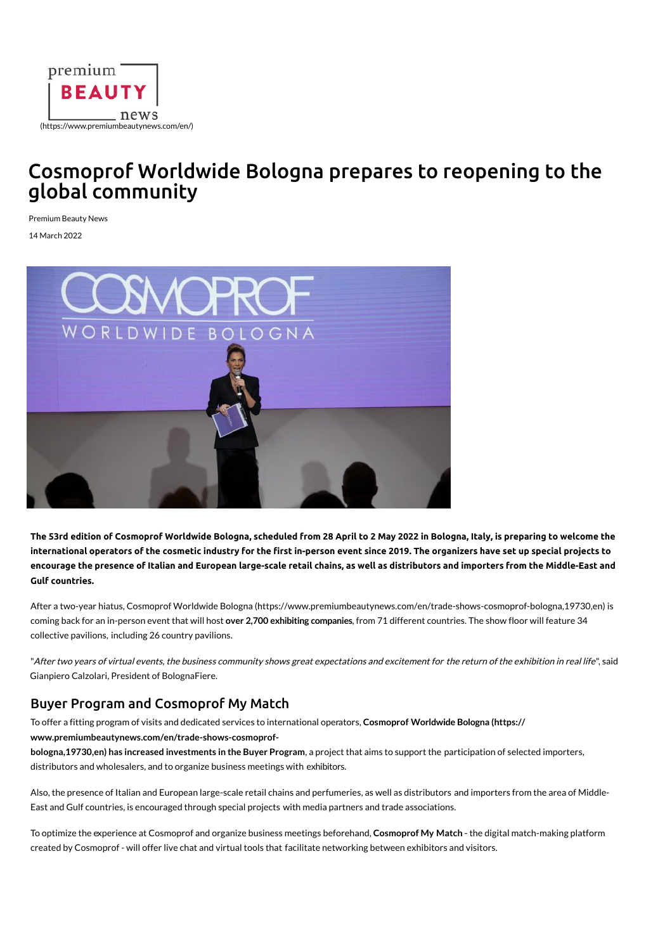

## [Cosmoprof Worldwide Bologna prepares to](https://www.premiumbeautynews.com/cgi-bin/advert-pro.cgi?type=clic&id=494&zone=14) reopening to the global community

Premium Beauty News

14 March 2022



**The 53rd edition of Cosmoprof Worldwide Bologna, scheduled from 28 April to 2 May 2022 in Bologna, It[aly, is preparing to welcome the](https://www.premiumbeautynews.com/en/telophi-biotech-ingredient,20337)  international operators of the cosmetic industry for the !rst in-person event since 2019. The organizers have set up special projects to encourage the presence of Italian and European larg[e-scale retail chains, as well as distributors and](https://www.facebook.com/sharer.php?u=https://www.premiumbeautynews.com/en/cosmoprof-worldwide-bologna,20002) importers from the Middle-East and Gulf countries.**

After a two-year hiatus, Cosmoprof Worldwide Bologna ([https://www.premiumbeautynews.com/en/trade-shows-cosmoprof-bologna,19730,en\)](mailto:?Subject=Cosmoprof%20Worldwide%20Bologna%20prepares%20to%20reopening%20to%20the%20global%20community%20-%20Premium%20Beauty%20News&Body=https://www.premiumbeautynews.com/en/cosmoprof-worldwide-bologna,20002) is coming back for an in-person event that will host **over 2,700 exhibiting companies**, from 71 different countries. The show floor will feature 34 collective pavilions, including 26 country pavilions.

"After two years of virtual events, the business community shows great expectations and excitement for the return of the exhibition in real life", said Gianpiero Calzolari, President of BolognaFiere.

## Buyer Program and Cosmoprof My Match

To offer a fitting program of visits and dedicated services to international operators, **Cosmoprof Worldwide Bologna (https:// www.premiumbeautynews.com/en/trade-shows-cosmoprof-**

**bologna,19730,en) has increased investments in the Buyer Program**, a project that aims to support the participation of selected importers, distributors and wholesalers, and to organize business meetings with exhibitors.

Also, the presence of Italian and European large-scale retail chains and perfumeries, as well as distributors and importers from the area of Middle-East and Gulf countries, is encouraged through special projects with media partners and trade associations.

To optimize the experience at Cosmoprof and organize business meetings beforehand, **Cosmoprof My Match** - th[e digital match-making platform](https://www.premiumbeautynews.com/cgi-bin/advert-pro.cgi?type=clic&id=384&zone=19)  created by Cosmoprof - will offer live chat and virtual tools that facilitate networking between exhibitors and visitors.